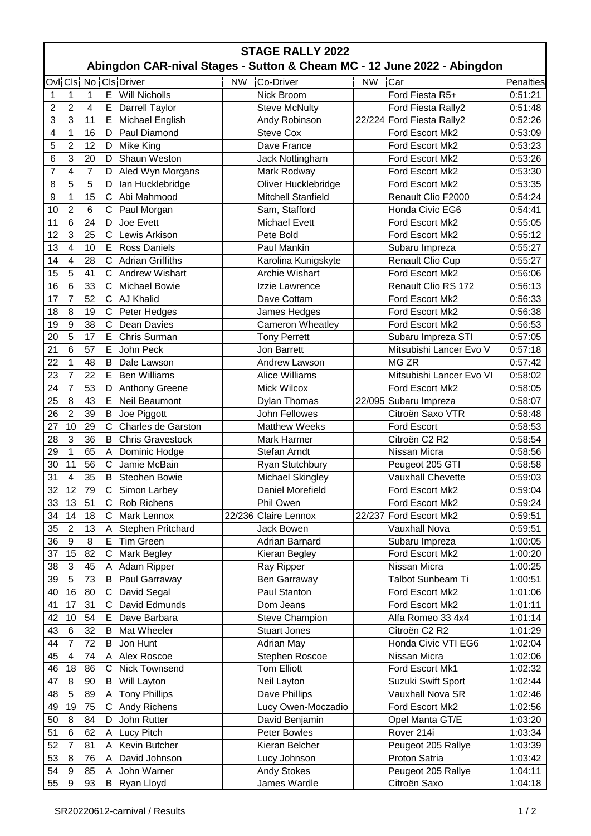| <b>STAGE RALLY 2022</b><br>Abingdon CAR-nival Stages - Sutton & Cheam MC - 12 June 2022 - Abingdon |                         |        |              |                         |           |                                    |        |                           |           |  |  |
|----------------------------------------------------------------------------------------------------|-------------------------|--------|--------------|-------------------------|-----------|------------------------------------|--------|---------------------------|-----------|--|--|
|                                                                                                    |                         |        |              | Ovi Cls. No Cls. Driver | <b>NW</b> | Co-Driver                          | NW Car |                           | Penalties |  |  |
|                                                                                                    |                         |        |              | <b>Will Nicholls</b>    |           |                                    |        |                           |           |  |  |
| 1                                                                                                  | 1<br>$\overline{2}$     | 1<br>4 | Е            |                         |           | Nick Broom<br><b>Steve McNulty</b> |        | Ford Fiesta R5+           | 0:51:21   |  |  |
| $\overline{c}$                                                                                     | 3                       | 11     | Е<br>E       | <b>Darrell Taylor</b>   |           |                                    |        | Ford Fiesta Rally2        | 0:51:48   |  |  |
| 3                                                                                                  |                         | 16     |              | Michael English         |           | Andy Robinson                      |        | 22/224 Ford Fiesta Rally2 | 0:52:26   |  |  |
| 4                                                                                                  | $\mathbf{1}$            |        | D            | Paul Diamond            |           | <b>Steve Cox</b>                   |        | Ford Escort Mk2           | 0:53:09   |  |  |
| 5                                                                                                  | $\overline{2}$          | 12     | D            | Mike King               |           | Dave France                        |        | Ford Escort Mk2           | 0:53:23   |  |  |
| 6                                                                                                  | 3                       | 20     | D            | Shaun Weston            |           | Jack Nottingham                    |        | Ford Escort Mk2           | 0:53:26   |  |  |
| $\overline{7}$                                                                                     | $\overline{\mathbf{4}}$ | 7      | D            | Aled Wyn Morgans        |           | Mark Rodway                        |        | Ford Escort Mk2           | 0:53:30   |  |  |
| 8                                                                                                  | 5                       | 5      | D            | lan Hucklebridge        |           | Oliver Hucklebridge                |        | Ford Escort Mk2           | 0:53:35   |  |  |
| 9                                                                                                  | $\mathbf{1}$            | 15     | $\mathsf{C}$ | Abi Mahmood             |           | <b>Mitchell Stanfield</b>          |        | Renault Clio F2000        | 0:54:24   |  |  |
| 10                                                                                                 | $\overline{2}$          | 6      | C            | Paul Morgan             |           | Sam, Stafford                      |        | Honda Civic EG6           | 0:54:41   |  |  |
| 11                                                                                                 | $6\phantom{1}6$         | 24     | D            | Joe Evett               |           | <b>Michael Evett</b>               |        | Ford Escort Mk2           | 0:55:05   |  |  |
| 12                                                                                                 | 3                       | 25     | $\mathsf{C}$ | Lewis Arkison           |           | Pete Bold                          |        | Ford Escort Mk2           | 0:55:12   |  |  |
| 13                                                                                                 | $\overline{\mathbf{4}}$ | 10     | Е            | <b>Ross Daniels</b>     |           | Paul Mankin                        |        | Subaru Impreza            | 0:55:27   |  |  |
| 14                                                                                                 | 4                       | 28     | C            | <b>Adrian Griffiths</b> |           | Karolina Kunigskyte                |        | Renault Clio Cup          | 0:55:27   |  |  |
| 15                                                                                                 | 5                       | 41     | C            | <b>Andrew Wishart</b>   |           | <b>Archie Wishart</b>              |        | Ford Escort Mk2           | 0:56:06   |  |  |
| 16                                                                                                 | $6\phantom{1}6$         | 33     | $\mathsf{C}$ | <b>Michael Bowie</b>    |           | Izzie Lawrence                     |        | Renault Clio RS 172       | 0:56:13   |  |  |
| 17                                                                                                 | $\overline{7}$          | 52     | $\mathsf{C}$ | <b>AJ Khalid</b>        |           | Dave Cottam                        |        | Ford Escort Mk2           | 0:56:33   |  |  |
| 18                                                                                                 | 8                       | 19     | $\mathsf C$  | Peter Hedges            |           | James Hedges                       |        | Ford Escort Mk2           | 0:56:38   |  |  |
| 19                                                                                                 | $\boldsymbol{9}$        | 38     | $\mathsf{C}$ | Dean Davies             |           | <b>Cameron Wheatley</b>            |        | Ford Escort Mk2           | 0:56:53   |  |  |
| 20                                                                                                 | 5                       | 17     | E            | Chris Surman            |           | <b>Tony Perrett</b>                |        | Subaru Impreza STI        | 0:57:05   |  |  |
| 21                                                                                                 | 6                       | 57     | E            | John Peck               |           | Jon Barrett                        |        | Mitsubishi Lancer Evo V   | 0:57:18   |  |  |
| 22                                                                                                 | 1                       | 48     | B            | Dale Lawson             |           | Andrew Lawson                      |        | MG ZR                     | 0:57:42   |  |  |
| 23                                                                                                 | $\overline{7}$          | 22     | E            | <b>Ben Williams</b>     |           | <b>Alice Williams</b>              |        | Mitsubishi Lancer Evo VI  | 0:58:02   |  |  |
| 24                                                                                                 | $\overline{7}$          | 53     | D            | <b>Anthony Greene</b>   |           | Mick Wilcox                        |        | Ford Escort Mk2           | 0:58:05   |  |  |
| 25                                                                                                 | 8                       | 43     | E            | Neil Beaumont           |           | Dylan Thomas                       |        | 22/095 Subaru Impreza     | 0:58:07   |  |  |
| 26                                                                                                 | $\overline{2}$          | 39     | B            | Joe Piggott             |           | John Fellowes                      |        | Citroën Saxo VTR          | 0:58:48   |  |  |
| 27                                                                                                 | 10                      | 29     | С            | Charles de Garston      |           | <b>Matthew Weeks</b>               |        | <b>Ford Escort</b>        | 0:58:53   |  |  |
| 28                                                                                                 | $\mathbf{3}$            | 36     | B            | <b>Chris Gravestock</b> |           | Mark Harmer                        |        | Citroën C2 R2             | 0:58:54   |  |  |
| 29                                                                                                 | 1                       | 65     | A            | Dominic Hodge           |           | Stefan Arndt                       |        | Nissan Micra              | 0:58:56   |  |  |
| 30                                                                                                 | 11                      | 56     | $\mathsf{C}$ | Jamie McBain            |           | Ryan Stutchbury                    |        | Peugeot 205 GTI           | 0:58:58   |  |  |
| 31                                                                                                 | $\overline{4}$          | 35     | B            | Steohen Bowie           |           | Michael Skingley                   |        | <b>Vauxhall Chevette</b>  | 0:59:03   |  |  |
| 32                                                                                                 | 12                      | 79     | $\mathsf C$  | Simon Larbey            |           | Daniel Morefield                   |        | Ford Escort Mk2           | 0:59:04   |  |  |
| 33                                                                                                 | 13                      | 51     | C            | Rob Richens             |           | Phil Owen                          |        | Ford Escort Mk2           | 0:59:24   |  |  |
| 34                                                                                                 | 14                      | 18     | C            | Mark Lennox             | 22/236    | Claire Lennox                      |        | 22/237 Ford Escort Mk2    | 0:59:51   |  |  |
| 35                                                                                                 | $\overline{2}$          | 13     | A            | Stephen Pritchard       |           | Jack Bowen                         |        | Vauxhall Nova             | 0:59:51   |  |  |
| 36                                                                                                 | 9                       | 8      | Е            | Tim Green               |           | Adrian Barnard                     |        | Subaru Impreza            | 1:00:05   |  |  |
| 37                                                                                                 | 15                      | 82     | C            | Mark Begley             |           | Kieran Begley                      |        | Ford Escort Mk2           | 1:00:20   |  |  |
| 38                                                                                                 | 3                       | 45     | A            | Adam Ripper             |           | Ray Ripper                         |        | Nissan Micra              | 1:00:25   |  |  |
| 39                                                                                                 | 5                       | 73     | B            | Paul Garraway           |           | Ben Garraway                       |        | <b>Talbot Sunbeam Ti</b>  | 1:00:51   |  |  |
| 40                                                                                                 | 16                      | 80     | $\mathsf C$  | David Segal             |           | Paul Stanton                       |        | Ford Escort Mk2           | 1:01:06   |  |  |
| 41                                                                                                 | 17                      | 31     | C            | David Edmunds           |           | Dom Jeans                          |        | Ford Escort Mk2           | 1:01:11   |  |  |
| 42                                                                                                 | 10                      | 54     | E            | Dave Barbara            |           | <b>Steve Champion</b>              |        | Alfa Romeo 33 4x4         | 1:01:14   |  |  |
| 43                                                                                                 | 6                       | 32     | B            | Mat Wheeler             |           | <b>Stuart Jones</b>                |        | Citroën C2 R2             | 1:01:29   |  |  |
| 44                                                                                                 | $\overline{7}$          | 72     | B            | Jon Hunt                |           | <b>Adrian May</b>                  |        | Honda Civic VTI EG6       | 1:02:04   |  |  |
| 45                                                                                                 | $\overline{4}$          | 74     | A            | Alex Roscoe             |           | Stephen Roscoe                     |        | Nissan Micra              | 1:02:06   |  |  |
| 46                                                                                                 | 18                      | 86     | C            | Nick Townsend           |           | <b>Tom Elliott</b>                 |        | Ford Escort Mk1           | 1:02:32   |  |  |
| 47                                                                                                 | 8                       | 90     | B            | Will Layton             |           | Neil Layton                        |        | Suzuki Swift Sport        | 1:02:44   |  |  |
| 48                                                                                                 | 5                       | 89     | Α            | <b>Tony Phillips</b>    |           | Dave Phillips                      |        | Vauxhall Nova SR          | 1:02:46   |  |  |
| 49                                                                                                 | 19                      | 75     | C            | <b>Andy Richens</b>     |           | Lucy Owen-Moczadio                 |        | Ford Escort Mk2           | 1:02:56   |  |  |
| 50                                                                                                 | 8                       | 84     | D            | John Rutter             |           | David Benjamin                     |        | Opel Manta GT/E           | 1:03:20   |  |  |
| 51                                                                                                 | 6                       | 62     | A            | Lucy Pitch              |           | Peter Bowles                       |        | Rover 214i                | 1:03:34   |  |  |
| 52                                                                                                 | $\overline{7}$          | 81     | A            | Kevin Butcher           |           | Kieran Belcher                     |        | Peugeot 205 Rallye        | 1:03:39   |  |  |
| 53                                                                                                 | 8                       | 76     | A            | David Johnson           |           | Lucy Johnson                       |        | Proton Satria             | 1:03:42   |  |  |
| 54                                                                                                 | 9                       | 85     | A            | John Warner             |           | <b>Andy Stokes</b>                 |        | Peugeot 205 Rallye        | 1:04:11   |  |  |
| 55                                                                                                 | $\boldsymbol{9}$        | 93     | B            | Ryan Lloyd              |           | James Wardle                       |        | Citroën Saxo              | 1:04:18   |  |  |